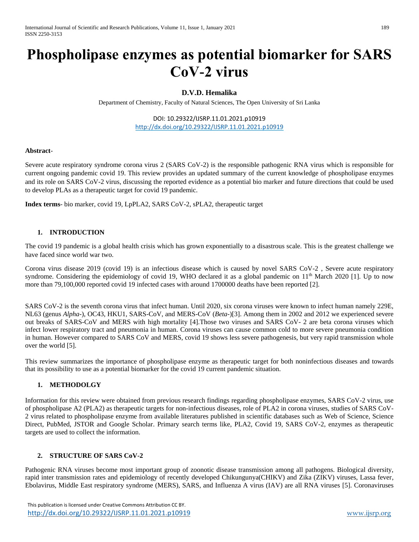# **Phospholipase enzymes as potential biomarker for SARS CoV-2 virus**

# **D.V.D. Hemalika**

Department of Chemistry, Faculty of Natural Sciences, The Open University of Sri Lanka

DOI: 10.29322/IJSRP.11.01.2021.p10919 <http://dx.doi.org/10.29322/IJSRP.11.01.2021.p10919>

#### **Abstract**-

Severe acute respiratory syndrome corona virus 2 (SARS CoV-2) is the responsible pathogenic RNA virus which is responsible for current ongoing pandemic covid 19. This review provides an updated summary of the current knowledge of phospholipase enzymes and its role on SARS CoV-2 virus, discussing the reported evidence as a potential bio marker and future directions that could be used to develop PLAs as a therapeutic target for covid 19 pandemic.

**Index terms**- bio marker, covid 19, LpPLA2, SARS CoV-2, sPLA2, therapeutic target

#### **1. INTRODUCTION**

The covid 19 pandemic is a global health crisis which has grown exponentially to a disastrous scale. This is the greatest challenge we have faced since world war two.

Corona virus disease 2019 (covid 19) is an infectious disease which is caused by novel SARS CoV-2 , Severe acute respiratory syndrome. Considering the epidemiology of covid 19, WHO declared it as a global pandemic on  $11<sup>th</sup>$  March 2020 [1]. Up to now more than 79,100,000 reported covid 19 infected cases with around 1700000 deaths have been reported [2].

SARS CoV-2 is the seventh corona virus that infect human. Until 2020, six corona viruses were known to infect human namely 229E, NL63 (genus *Alpha-*), OC43, HKU1, SARS-CoV, and MERS-CoV (*Beta-*)[3]. Among them in 2002 and 2012 we experienced severe out breaks of SARS-CoV and MERS with high mortality [4].Those two viruses and SARS CoV- 2 are beta corona viruses which infect lower respiratory tract and pneumonia in human. Corona viruses can cause common cold to more severe pneumonia condition in human. However compared to SARS CoV and MERS, covid 19 shows less severe pathogenesis, but very rapid transmission whole over the world [5].

This review summarizes the importance of phospholipase enzyme as therapeutic target for both noninfectious diseases and towards that its possibility to use as a potential biomarker for the covid 19 current pandemic situation.

## **1. METHODOLGY**

Information for this review were obtained from previous research findings regarding phospholipase enzymes, SARS CoV-2 virus, use of phospholipase A2 (PLA2) as therapeutic targets for non-infectious diseases, role of PLA2 in corona viruses, studies of SARS CoV-2 virus related to phospholipase enzyme from available literatures published in scientific databases such as Web of Science, Science Direct, PubMed, JSTOR and Google Scholar. Primary search terms like, PLA2, Covid 19, SARS CoV-2, enzymes as therapeutic targets are used to collect the information.

#### **2. STRUCTURE OF SARS CoV-2**

Pathogenic RNA viruses become most important group of zoonotic disease transmission among all pathogens. Biological diversity, rapid inter transmission rates and epidemiology of recently developed Chikungunya(CHIKV) and Zika (ZIKV) viruses, Lassa fever, Ebolavirus, Middle East respiratory syndrome (MERS), SARS, and Influenza A virus (IAV) are all RNA viruses [5]. Coronaviruses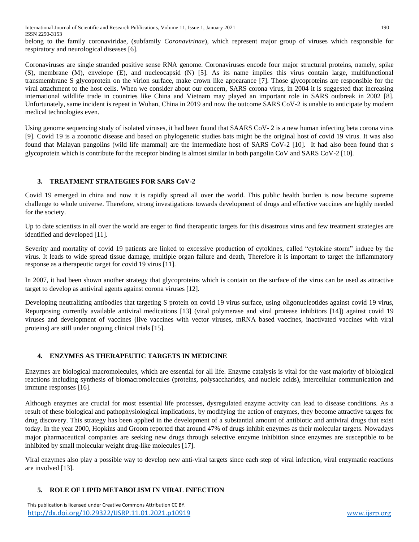belong to the family coronaviridae, (subfamily *Coronavirinae*), which represent major group of viruses which responsible for respiratory and neurological diseases [6].

Coronaviruses are single stranded positive sense RNA genome. Coronaviruses encode four major structural proteins, namely, spike (S), membrane (M), envelope (E), and nucleocapsid (N) [5]. As its name implies this virus contain large, multifunctional transmembrane S glycoprotein on the virion surface, make crown like appearance [7]. Those glycoproteins are responsible for the viral attachment to the host cells. When we consider about our concern, SARS corona virus, in 2004 it is suggested that increasing international wildlife trade in countries like China and Vietnam may played an important role in SARS outbreak in 2002 [8]. Unfortunately, same incident is repeat in Wuhan, China in 2019 and now the outcome SARS CoV-2 is unable to anticipate by modern medical technologies even.

Using genome sequencing study of isolated viruses, it had been found that SAARS CoV- 2 is a new human infecting beta corona virus [9]. Covid 19 is a zoonotic disease and based on phylogenetic studies bats might be the original host of covid 19 virus. It was also found that Malayan pangolins (wild life mammal) are the intermediate host of SARS CoV-2 [10]. It had also been found that s glycoprotein which is contribute for the receptor binding is almost similar in both pangolin CoV and SARS CoV-2 [10].

# **3. TREATMENT STRATEGIES FOR SARS CoV-2**

Covid 19 emerged in china and now it is rapidly spread all over the world. This public health burden is now become supreme challenge to whole universe. Therefore, strong investigations towards development of drugs and effective vaccines are highly needed for the society.

Up to date scientists in all over the world are eager to find therapeutic targets for this disastrous virus and few treatment strategies are identified and developed [11].

Severity and mortality of covid 19 patients are linked to excessive production of cytokines, called "cytokine storm" induce by the virus. It leads to wide spread tissue damage, multiple organ failure and death, Therefore it is important to target the inflammatory response as a therapeutic target for covid 19 virus [11].

In 2007, it had been shown another strategy that glycoproteins which is contain on the surface of the virus can be used as attractive target to develop as antiviral agents against corona viruses [12].

Developing neutralizing antibodies that targeting S protein on covid 19 virus surface, using oligonucleotides against covid 19 virus, Repurposing currently available antiviral medications [13] (viral polymerase and viral protease inhibitors [14]) against covid 19 viruses and development of vaccines (live vaccines with vector viruses, mRNA based vaccines, inactivated vaccines with viral proteins) are still under ongoing clinical trials [15].

# **4. ENZYMES AS THERAPEUTIC TARGETS IN MEDICINE**

Enzymes are biological macromolecules, which are essential for all life. Enzyme catalysis is vital for the vast majority of biological reactions including synthesis of biomacromolecules (proteins, polysaccharides, and nucleic acids), intercellular communication and immune responses [16].

Although enzymes are crucial for most essential life processes, dysregulated enzyme activity can lead to disease conditions. As a result of these biological and pathophysiological implications, by modifying the action of enzymes, they become attractive targets for drug discovery. This strategy has been applied in the development of a substantial amount of antibiotic and antiviral drugs that exist today. In the year 2000, Hopkins and Groom reported that around 47% of drugs inhibit enzymes as their molecular targets. Nowadays major pharmaceutical companies are seeking new drugs through selective enzyme inhibition since enzymes are susceptible to be inhibited by small molecular weight drug-like molecules [17].

Viral enzymes also play a possible way to develop new anti-viral targets since each step of viral infection, viral enzymatic reactions are involved [13].

## **5. ROLE OF LIPID METABOLISM IN VIRAL INFECTION**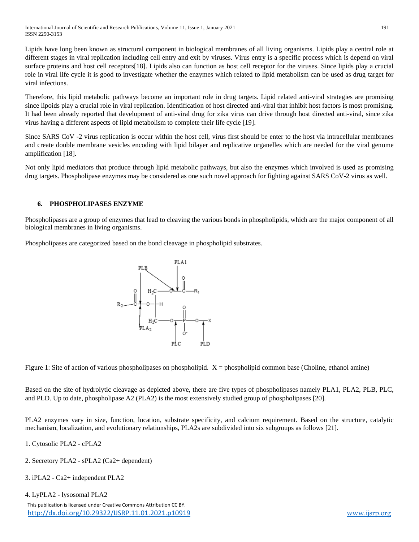Lipids have long been known as structural component in biological membranes of all living organisms. Lipids play a central role at different stages in viral replication including cell entry and exit by viruses. Virus entry is a specific process which is depend on viral surface proteins and host cell receptors[18]. Lipids also can function as host cell receptor for the viruses. Since lipids play a crucial role in viral life cycle it is good to investigate whether the enzymes which related to lipid metabolism can be used as drug target for viral infections.

Therefore, this lipid metabolic pathways become an important role in drug targets. Lipid related anti-viral strategies are promising since lipoids play a crucial role in viral replication. Identification of host directed anti-viral that inhibit host factors is most promising. It had been already reported that development of anti-viral drug for zika virus can drive through host directed anti-viral, since zika virus having a different aspects of lipid metabolism to complete their life cycle [19].

Since SARS CoV -2 virus replication is occur within the host cell, virus first should be enter to the host via intracellular membranes and create double membrane vesicles encoding with lipid bilayer and replicative organelles which are needed for the viral genome amplification [18].

Not only lipid mediators that produce through lipid metabolic pathways, but also the enzymes which involved is used as promising drug targets. Phospholipase enzymes may be considered as one such novel approach for fighting against SARS CoV-2 virus as well.

# **6. PHOSPHOLIPASES ENZYME**

Phospholipases are a group of enzymes that lead to cleaving the various bonds in phospholipids, which are the major component of all biological membranes in living organisms.

Phospholipases are categorized based on the bond cleavage in phospholipid substrates.



Figure 1: Site of action of various phospholipases on phospholipid.  $X =$  phospholipid common base (Choline, ethanol amine)

Based on the site of hydrolytic cleavage as depicted above, there are five types of phospholipases namely PLA1, PLA2, PLB, PLC, and PLD. Up to date, phospholipase A2 (PLA2) is the most extensively studied group of phospholipases [20].

PLA2 enzymes vary in size, function, location, substrate specificity, and calcium requirement. Based on the structure, catalytic mechanism, localization, and evolutionary relationships, PLA2s are subdivided into six subgroups as follows [21].

- 1. Cytosolic PLA2 cPLA2
- 2. Secretory PLA2 sPLA2 (Ca2+ dependent)
- 3. iPLA2 Ca2+ independent PLA2

```
4. LyPLA2 - lysosomal PLA2
```
This publication is licensed under Creative Commons Attribution CC BY. <http://dx.doi.org/10.29322/IJSRP.11.01.2021.p10919> [www.ijsrp.org](http://ijsrp.org/)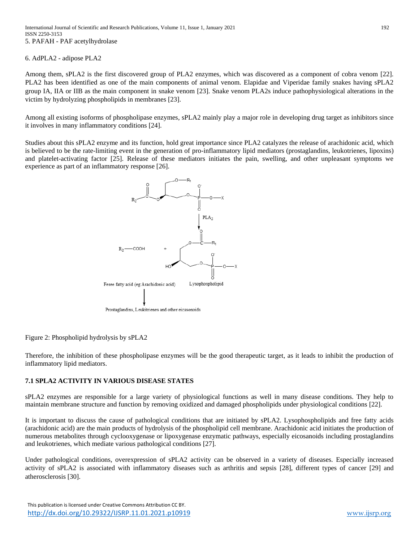6. AdPLA2 - adipose PLA2

Among them, sPLA2 is the first discovered group of PLA2 enzymes, which was discovered as a component of cobra venom [22]. PLA2 has been identified as one of the main components of animal venom. Elapidae and Viperidae family snakes having sPLA2 group IA, IIA or IIB as the main component in snake venom [23]. Snake venom PLA2s induce pathophysiological alterations in the victim by hydrolyzing phospholipids in membranes [23].

Among all existing isoforms of phospholipase enzymes, sPLA2 mainly play a major role in developing drug target as inhibitors since it involves in many inflammatory conditions [24].

Studies about this sPLA2 enzyme and its function, hold great importance since PLA2 catalyzes the release of arachidonic acid, which is believed to be the rate-limiting event in the generation of pro-inflammatory lipid mediators (prostaglandins, leukotrienes, lipoxins) and platelet-activating factor [25]. Release of these mediators initiates the pain, swelling, and other unpleasant symptoms we experience as part of an inflammatory response [26].



Figure 2: Phospholipid hydrolysis by sPLA2

Therefore, the inhibition of these phospholipase enzymes will be the good therapeutic target, as it leads to inhibit the production of inflammatory lipid mediators.

## **7.1 SPLA2 ACTIVITY IN VARIOUS DISEASE STATES**

sPLA2 enzymes are responsible for a large variety of physiological functions as well in many disease conditions. They help to maintain membrane structure and function by removing oxidized and damaged phospholipids under physiological conditions [22].

It is important to discuss the cause of pathological conditions that are initiated by sPLA2. Lysophospholipids and free fatty acids (arachidonic acid) are the main products of hydrolysis of the phospholipid cell membrane. Arachidonic acid initiates the production of numerous metabolites through cyclooxygenase or lipoxygenase enzymatic pathways, especially eicosanoids including prostaglandins and leukotrienes, which mediate various pathological conditions [27].

Under pathological conditions, overexpression of sPLA2 activity can be observed in a variety of diseases. Especially increased activity of sPLA2 is associated with inflammatory diseases such as arthritis and sepsis [28], different types of cancer [29] and atherosclerosis [30].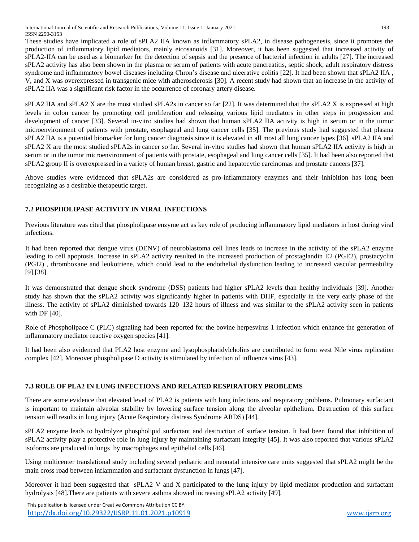These studies have implicated a role of sPLA2 IIA known as inflammatory sPLA2, in disease pathogenesis, since it promotes the production of inflammatory lipid mediators, mainly eicosanoids [31]. Moreover, it has been suggested that increased activity of sPLA2-IIA can be used as a biomarker for the detection of sepsis and the presence of bacterial infection in adults [27]. The increased sPLA2 activity has also been shown in the plasma or serum of patients with acute pancreatitis, septic shock, adult respiratory distress syndrome and inflammatory bowel diseases including Chron's disease and ulcerative colitis [22]. It had been shown that sPLA2 IIA , V, and X was overexpressed in transgenic mice with atherosclerosis [30]. A recent study had shown that an increase in the activity of sPLA2 IIA was a significant risk factor in the occurrence of coronary artery disease.

sPLA2 IIA and sPLA2 X are the most studied sPLA2s in cancer so far [22]. It was determined that the sPLA2 X is expressed at high levels in colon cancer by promoting cell proliferation and releasing various lipid mediators in other steps in progression and development of cancer [33]. Several in-vitro studies had shown that human sPLA2 IIA activity is high in serum or in the tumor microenvironment of patients with prostate, esophageal and lung cancer cells [35]. The previous study had suggested that plasma sPLA2 IIA is a potential biomarker for lung cancer diagnosis since it is elevated in all most all lung cancer types [36]. sPLA2 IIA and sPLA2 X are the most studied sPLA2s in cancer so far. Several in-vitro studies had shown that human sPLA2 IIA activity is high in serum or in the tumor microenvironment of patients with prostate, esophageal and lung cancer cells [35]. It had been also reported that sPLA2 group II is overexpressed in a variety of human breast, gastric and hepatocytic carcinomas and prostate cancers [37].

Above studies were evidenced that sPLA2s are considered as pro-inflammatory enzymes and their inhibition has long been recognizing as a desirable therapeutic target.

# **7.2 PHOSPHOLIPASE ACTIVITY IN VIRAL INFECTIONS**

Previous literature was cited that phospholipase enzyme act as key role of producing inflammatory lipid mediators in host during viral infections.

It had been reported that dengue virus (DENV) of neuroblastoma cell lines leads to increase in the activity of the sPLA2 enzyme leading to cell apoptosis. Increase in sPLA2 activity resulted in the increased production of prostaglandin E2 (PGE2), prostacyclin (PGI2) , thromboxane and leukotriene, which could lead to the endothelial dysfunction leading to increased vascular permeability [9],[38].

It was demonstrated that dengue shock syndrome (DSS) patients had higher sPLA2 levels than healthy individuals [39]. Another study has shown that the sPLA2 activity was significantly higher in patients with DHF, especially in the very early phase of the illness. The activity of sPLA2 diminished towards 120–132 hours of illness and was similar to the sPLA2 activity seen in patients with DF [40].

Role of Phospholipace C (PLC) signaling had been reported for the bovine herpesvirus 1 infection which enhance the generation of inflammatory mediator reactive oxygen species [41].

It had been also evidenced that PLA2 host enzyme and lysophosphatidylcholins are contributed to form west Nile virus replication complex [42]. Moreover phospholipase D activity is stimulated by infection of influenza virus [43].

# **7.3 ROLE OF PLA2 IN LUNG INFECTIONS AND RELATED RESPIRATORY PROBLEMS**

There are some evidence that elevated level of PLA2 is patients with lung infections and respiratory problems. Pulmonary surfactant is important to maintain alveolar stability by lowering surface tension along the alveolar epithelium. Destruction of this surface tension will results in lung injury (Acute Respiratory distress Syndrome ARDS) [44].

sPLA2 enzyme leads to hydrolyze phospholipid surfactant and destruction of surface tension. It had been found that inhibition of sPLA2 activity play a protective role in lung injury by maintaining surfactant integrity [45]. It was also reported that various sPLA2 isoforms are produced in lungs by macrophages and epithelial cells [46].

Using multicenter translational study including several pediatric and neonatal intensive care units suggested that sPLA2 might be the main cross road between inflammation and surfactant dysfunction in lungs [47].

Moreover it had been suggested that sPLA2 V and X participated to the lung injury by lipid mediator production and surfactant hydrolysis [48].There are patients with severe asthma showed increasing sPLA2 activity [49].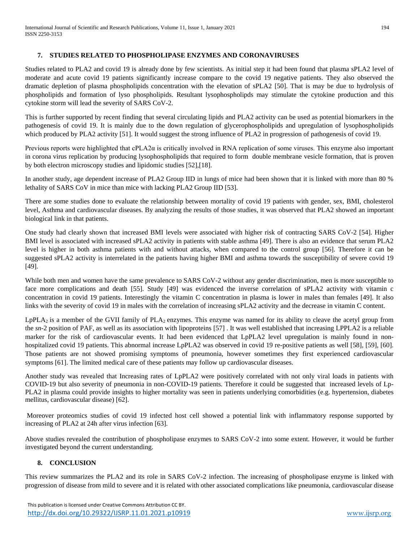## **7. STUDIES RELATED TO PHOSPHOLIPASE ENZYMES AND CORONAVIRUSES**

Studies related to PLA2 and covid 19 is already done by few scientists. As initial step it had been found that plasma sPLA2 level of moderate and acute covid 19 patients significantly increase compare to the covid 19 negative patients. They also observed the dramatic depletion of plasma phospholipids concentration with the elevation of sPLA2 [50]. That is may be due to hydrolysis of phospholipids and formation of lyso phospholipids. Resultant lysophospholipds may stimulate the cytokine production and this cytokine storm will lead the severity of SARS CoV-2.

This is further supported by recent finding that several circulating lipids and PLA2 activity can be used as potential biomarkers in the pathogenesis of covid 19. It is mainly due to the down regulation of glycerophospholipids and upregulation of lysophospholipids which produced by PLA2 activity [51]. It would suggest the strong influence of PLA2 in progression of pathogenesis of covid 19.

Previous reports were highlighted that cPLA2α is critically involved in RNA replication of some viruses. This enzyme also important in corona virus replication by producing lysophospholipids that required to form double membrane vesicle formation, that is proven by both electron microscopy studies and lipidomic studies [52],[18].

In another study, age dependent increase of PLA2 Group IID in lungs of mice had been shown that it is linked with more than 80 % lethality of SARS CoV in mice than mice with lacking PLA2 Group IID [53].

There are some studies done to evaluate the relationship between mortality of covid 19 patients with gender, sex, BMI, cholesterol level, Asthma and cardiovascular diseases. By analyzing the results of those studies, it was observed that PLA2 showed an important biological link in that patients.

One study had clearly shown that increased BMI levels were associated with higher risk of contracting SARS CoV-2 [54]. Higher BMI level is associated with increased sPLA2 activity in patients with stable asthma [49]. There is also an evidence that serum PLA2 level is higher in both asthma patients with and without attacks, when compared to the control group [56]. Therefore it can be suggested sPLA2 activity is interrelated in the patients having higher BMI and asthma towards the susceptibility of severe covid 19 [49].

While both men and women have the same prevalence to SARS CoV-2 without any gender discrimination, men is more susceptible to face more complications and death [55]. Study [49] was evidenced the inverse correlation of sPLA2 activity with vitamin c concentration in covid 19 patients. Interestingly the vitamin C concentration in plasma is lower in males than females [49]. It also links with the severity of covid 19 in males with the correlation of increasing sPLA2 activity and the decrease in vitamin C content.

 $LpPLA_2$  is a member of the GVII family of  $PLA_2$  enzymes. This enzyme was named for its ability to cleave the acetyl group from the *sn*-2 position of PAF, as well as its association with lipoproteins [57] . It was well established that increasing LPPLA2 is a reliable marker for the risk of cardiovascular events. It had been evidenced that LpPLA2 level upregulation is mainly found in nonhospitalized covid 19 patients. This abnormal increase LpPLA2 was observed in covid 19 re-positive patients as well [58], [59], [60]. Those patients are not showed promising symptoms of pneumonia, however sometimes they first experienced cardiovascular symptoms [61]. The limited medical care of these patients may follow up cardiovascular diseases.

Another study was revealed that Increasing rates of LpPLA2 were positively correlated with not only viral loads in patients with COVID-19 but also severity of pneumonia in non-COVID-19 patients. Therefore it could be suggested that increased levels of Lp-PLA2 in plasma could provide insights to higher mortality was seen in patients underlying comorbidities (e.g. hypertension, diabetes mellitus, cardiovascular disease) [62].

Moreover proteomics studies of covid 19 infected host cell showed a potential link with inflammatory response supported by increasing of PLA2 at 24h after virus infection [63].

Above studies revealed the contribution of phospholipase enzymes to SARS CoV-2 into some extent. However, it would be further investigated beyond the current understanding.

# **8. CONCLUSION**

This review summarizes the PLA2 and its role in SARS CoV-2 infection. The increasing of phospholipase enzyme is linked with progression of disease from mild to severe and it is related with other associated complications like pneumonia, cardiovascular disease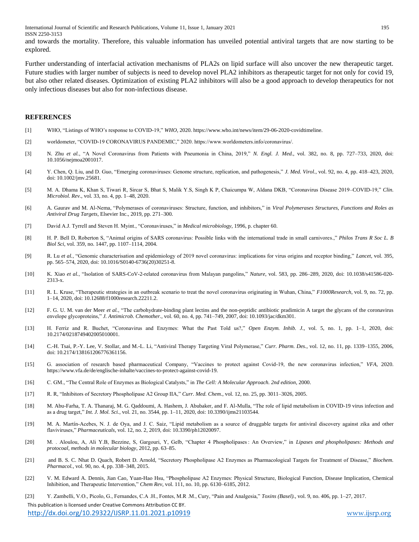International Journal of Scientific and Research Publications, Volume 11, Issue 1, January 2021 195 ISSN 2250-3153

and towards the mortality. Therefore, this valuable information has unveiled potential antiviral targets that are now starting to be explored.

Further understanding of interfacial activation mechanisms of PLA2s on lipid surface will also uncover the new therapeutic target. Future studies with larger number of subjects is need to develop novel PLA2 inhibitors as therapeutic target for not only for covid 19, but also other related diseases. Optimization of existing PLA2 inhibitors will also be a good approach to develop therapeutics for not only infectious diseases but also for non-infectious disease.

#### **REFERENCES**

- [1] WHO, "Listings of WHO's response to COVID-19," *WHO*, 2020. https://www.who.int/news/item/29-06-2020-covidtimeline.
- [2] worldometer, "COVID-19 CORONAVIRUS PANDEMIC," 2020. https://www.worldometers.info/coronavirus/.
- [3] N. Zhu *et al.*, "A Novel Coronavirus from Patients with Pneumonia in China, 2019," *N. Engl. J. Med.*, vol. 382, no. 8, pp. 727–733, 2020, doi: 10.1056/nejmoa2001017.
- [4] Y. Chen, Q. Liu, and D. Guo, "Emerging coronaviruses: Genome structure, replication, and pathogenesis," *J. Med. Virol.*, vol. 92, no. 4, pp. 418–423, 2020, doi: 10.1002/jmv.25681.
- [5] M. A. Dhama K, Khan S, Tiwari R, Sircar S, Bhat S, Malik Y.S, Singh K P, Chaicumpa W, Aldana DKB, "Coronavirus Disease 2019–COVID-19," *Clin. Microbiol. Rev.*, vol. 33, no. 4, pp. 1–48, 2020.
- [6] A. Gaurav and M. Al-Nema, "Polymerases of coronaviruses: Structure, function, and inhibitors," in *Viral Polymerases Structures, Functions and Roles as Antiviral Drug Targets*, Elsevier Inc., 2019, pp. 271–300.
- [7] David A.J. Tyrrell and Steven H. Myint., "Coronaviruses," in *Medical microbiology*, 1996, p. chapter 60.
- [8] H. P. Bell D, Roberton S, "Animal origins of SARS coronavirus: Possible links with the international trade in small carnivores.," *Philos Trans R Soc L. B Biol Sci*, vol. 359, no. 1447, pp. 1107–1114, 2004.
- [9] R. Lu *et al.*, "Genomic characterisation and epidemiology of 2019 novel coronavirus: implications for virus origins and receptor binding," *Lancet*, vol. 395, pp. 565–574, 2020, doi: 10.1016/S0140-6736(20)30251-8.
- [10] K. Xiao *et al.*, "Isolation of SARS-CoV-2-related coronavirus from Malayan pangolins," *Nature*, vol. 583, pp. 286–289, 2020, doi: 10.1038/s41586-020- 2313-x.
- [11] R. L. Kruse, "Therapeutic strategies in an outbreak scenario to treat the novel coronavirus originating in Wuhan, China," *F1000Research*, vol. 9, no. 72, pp. 1–14, 2020, doi: 10.12688/f1000research.22211.2.
- [12] F. G. U. M. van der Meer *et al.*, "The carbohydrate-binding plant lectins and the non-peptidic antibiotic pradimicin A target the glycans of the coronavirus envelope glycoproteins," *J. Antimicrob. Chemother.*, vol. 60, no. 4, pp. 741–749, 2007, doi: 10.1093/jac/dkm301.
- [13] H. Ferriz and R. Buchet, "Coronavirus and Enzymes: What the Past Told us?," *Open Enzym. Inhib. J.*, vol. 5, no. 1, pp. 1–1, 2020, doi: 10.2174/0218749402005010001.
- [14] C.-H. Tsai, P.-Y. Lee, V. Stollar, and M.-L. Li, "Antiviral Therapy Targeting Viral Polymerase," *Curr. Pharm. Des.*, vol. 12, no. 11, pp. 1339–1355, 2006, doi: 10.2174/138161206776361156.
- [15] G. association of research based pharmaceutical Company, "Vaccines to protect against Covid-19, the new coronavirus infection," *VFA*, 2020. https://www.vfa.de/de/englische-inhalte/vaccines-to-protect-against-covid-19.
- [16] C. GM., "The Central Role of Enzymes as Biological Catalysts," in *The Cell: A Molecular Approach. 2nd edition*, 2000.
- [17] R. R, "Inhibitors of Secretory Phospholipase A2 Group IIA," *Curr. Med. Chem.*, vol. 12, no. 25, pp. 3011–3026, 2005.
- [18] M. Abu-Farha, T. A. Thanaraj, M. G. Qaddoumi, A. Hashem, J. Abubaker, and F. Al-Mulla, "The role of lipid metabolism in COVID-19 virus infection and as a drug target," *Int. J. Mol. Sci.*, vol. 21, no. 3544, pp. 1–11, 2020, doi: 10.3390/ijms21103544.
- [19] M. A. Martín-Acebes, N. J. de Oya, and J. C. Saiz, "Lipid metabolism as a source of druggable targets for antiviral discovery against zika and other flaviviruses," *Pharmaceuticals*, vol. 12, no. 2, 2019, doi: 10.3390/ph12020097.
- [20] M. . Aloulou, A, Ali Y.B, Bezzine, S, Gargouri, Y, Gelb, "Chapter 4 Phospholipases : An Overview," in *Lipases and phospholipases: Methods and protocoal, methods in molecular biology*, 2012, pp. 63–85.
- [21] and B. S. C. Nhat D. Quach, Robert D. Arnold, "Secretory Phospholipase A2 Enzymes as Pharmacological Targets for Treatment of Disease," *Biochem. Pharmacol.*, vol. 90, no. 4, pp. 338–348, 2015.
- [22] V. M. Edward A. Dennis, Jian Cao, Yuan-Hao Hsu, "Phospholipase A2 Enzymes: Physical Structure, Biological Function, Disease Implication, Chemical Inhibition, and Therapeutic Intervention," *Chem Rev*, vol. 111, no. 10, pp. 6130–6185, 2012.

[23] Y. Zambelli, V.O., Picolo, G., Fernandes, C.A .H., Fontes, M.R .M., Cury, "Pain and Analgesia," *Toxins (Basel).*, vol. 9, no. 406, pp. 1–27, 2017.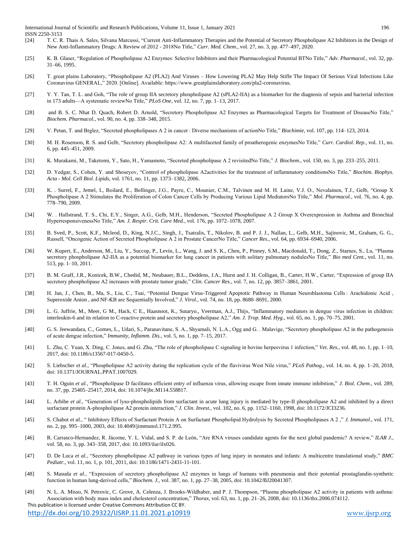- [24] T. C. R. Thais A. Sales, Silvana Marcussi, "Current Anti-Inflammatory Therapies and the Potential of Secretory Phospholipase A2 Inhibitors in the Design of New Anti-Inflammatory Drugs: A Review of 2012 - 2018No Title," *Curr. Med. Chem.*, vol. 27, no. 3, pp. 477–497, 2020.
- [25] K. B. Glaser, "Regulation of Phospholipase A2 Enzymes: Selective Inhibitors and their Pharmacological Potential BTNo Title," *Adv. Pharmacol.*, vol. 32, pp. 31–66, 1995.
- [26] T. great plains Laboratory, "Phospholipase A2 (PLA2) And Viruses How Lowering PLA2 May Help Stifle The Impact Of Serious Viral Infections Like Coronavirus GENERAL," 2020. [Online]. Available: https://www.greatplainslaboratory.com/pla2-coronavirus.
- [27] Y. Y. Tan, T. L. and Goh, "The role of group IIA secretory phospholipase A2 (sPLA2-IIA) as a biomarker for the diagnosis of sepsis and bacterial infection in 173 adults—A systematic reviewNo Title," *PLoS One*, vol. 12, no. 7, pp. 1–13, 2017.
- [28] and B. S. C. Nhat D. Quach, Robert D. Arnold, "Secretory Phospholipase A2 Enzymes as Pharmacological Targets for Treatment of DiseaseNo Title," *Biochem. Pharmacol.*, vol. 90, no. 4, pp. 338–348, 2015.
- [29] V. Petan, T. and Brglez, "Secreted phospholipases A 2 in cancer : Diverse mechanisms of actionNo Title," *Biochimie*, vol. 107, pp. 114–123, 2014.
- [30] M. H. Rosenson, R. S. and Gelb, "Secretory phospholipase A2: A multifaceted family of proatherogenic enzymesNo Title," *Curr. Cardiol. Rep.*, vol. 11, no. 6, pp. 445–451, 2009.
- [31] K. Murakami, M., Taketomi, Y., Sato, H., Yamamoto, "Secreted phospholipase A 2 revisitedNo Title," *J. Biochem.*, vol. 150, no. 3, pp. 233–255, 2011.
- [32] D. Yedgar, S., Cohen, Y. and Shoseyov, "Control of phospholipase A2activities for the treatment of inflammatory conditionsNo Title," *Biochim. Biophys. Acta - Mol. Cell Biol. Lipids*, vol. 1761, no. 11, pp. 1373–1382, 2006.
- [33] K. . Surrel, F., Jemel, I., Boilard, E., Bollinger, J.G., Payre, C., Mounier, C.M., Talvinen and M. H. Laine, V.J. O., Nevalainen, T.J., Gelb, "Group X Phospholipase A 2 Stimulates the Proliferation of Colon Cancer Cells by Producing Various Lipid MediatorsNo Title," *Mol. Pharmacol.*, vol. 76, no. 4, pp. 778–790, 2009.
- [34] W. . Hallstrand, T. S., Chi, E.Y., Singer, A.G., Gelb, M.H., Henderson, "Secreted Phospholipase A 2 Group X Overexpression in Asthma and Bronchial HyperresponsivenessNo Title," *Am. J. Respir. Crit. Care Med.*, vol. 176, pp. 1072–1078, 2007.
- [35] B. Sved, P., Scott, K.F., Mcleod, D., King, N.J.C., Singh, J., Tsatralis, T., Nikolov, B. and P. J. J., Nallan, L., Gelb, M.H., Sajinovic, M., Graham, G. G., Russell, "Oncogenic Action of Secreted Phospholipase A 2 in Prostate CancerNo Title," *Cancer Res.*, vol. 64, pp. 6934–6940, 2006.
- [36] W. Kupert, E., Anderson, M., Liu, Y., Succop, P., Levin, L., Wang, J. and S. K., Chen, P., Pinney, S.M., Macdonald, T., Dong, Z., Starnes, S., Lu, "Plasma secretory phospholipase A2-IIA as a potential biomarker for lung cancer in patients with solitary pulmonary nodulesNo Title," *Bio med Cent.*, vol. 11, no. 513, pp. 1–10, 2011.
- [37] B. M. Graff, J.R., Konicek, B.W., Chedid, M., Neubauer, B.L., Deddens, J.A., Hurst and J. H. Colligan, B., Carter, H.W., Carter, "Expression of group IIA secretory phospholipase A2 increases with prostate tumor grade," *Clin. Cancer Res.*, vol. 7, no. 12, pp. 3857–3861, 2001.
- [38] H. Jan, J., Chen, B., Ma, S., Liu, C., Tsai, "Potential Dengue Virus-Triggered Apoptotic Pathway in Human Neuroblastoma Cells : Arachidonic Acid , Superoxide Anion , and NF-ƘB are Sequentially Involved," *J. Virol.*, vol. 74, no. 18, pp. 8680–8691, 2000.
- [39] L. G. Juffrie, M., Meer, G M., Hack, C E., Haasnoot, K., Sutaryo., Veerman, A.J., Thijs, "Inflammatory mediators in dengue virus infection in children: interleukin-6 and its relation to C-reactive protein and secretory phospholipase A2," *Am. J. Trop. Med. Hyg.*, vol. 65, no. 1, pp. 70–75, 2001.
- [40] G. S. Jeewandara, C., Gomes, L., Udari, S., Paranavitane, S. A., Shyamali, N. L.A., Ogg and G. . Malavige, "Secretory phospholipase A2 in the pathogenesis of acute dengue infection," *Immunity, Inflamm. Dis.*, vol. 5, no. 1, pp. 7–15, 2017.
- [41] L. Zhu, C. Yuan, X. Ding, C. Jones, and G. Zhu, "The role of phospholipase C signaling in bovine herpesvirus 1 infection," *Vet. Res.*, vol. 48, no. 1, pp. 1–10, 2017, doi: 10.1186/s13567-017-0450-5.
- [42] S. Liebscher *et al.*, "Phospholipase A2 activity during the replication cycle of the flavivirus West Nile virus," *PLoS Pathog.*, vol. 14, no. 4, pp. 1–20, 2018, doi: 10.1371/JOURNAL.PPAT.1007029.
- [43] T. H. Oguin *et al.*, "Phospholipase D facilitates efficient entry of influenza virus, allowing escape from innate immune inhibition," *J. Biol. Chem.*, vol. 289, no. 37, pp. 25405–25417, 2014, doi: 10.1074/jbc.M114.558817.
- [44] L. Arbibe *et al.*, "Generation of lyso-phospholipids from surfactant in acute lung injury is mediated by type-II phospholipase A2 and inhibited by a direct surfactant protein A-phospholipase A2 protein interaction," *J. Clin. Invest.*, vol. 102, no. 6, pp. 1152–1160, 1998, doi: 10.1172/JCI3236.
- [45] S. Chabot *et al.*, " Inhibitory Effects of Surfactant Protein A on Surfactant Phospholipid Hydrolysis by Secreted Phospholipases A 2 ," *J. Immunol.*, vol. 171, no. 2, pp. 995–1000, 2003, doi: 10.4049/jimmunol.171.2.995.
- [46] R. Carrasco-Hernandez, R. Jácome, Y. L. Vidal, and S. P. de León, "Are RNA viruses candidate agents for the next global pandemic? A review," *ILAR J.*, vol. 58, no. 3, pp. 343–358, 2017, doi: 10.1093/ilar/ilx026.
- [47] D. De Luca *et al.*, "Secretory phospholipase A2 pathway in various types of lung injury in neonates and infants: A multicentre translational study," *BMC Pediatr.*, vol. 11, no. 1, p. 101, 2011, doi: 10.1186/1471-2431-11-101.
- [48] S. Masuda *et al.*, "Expression of secretory phospholipase A2 enzymes in lungs of humans with pneumonia and their potential prostaglandin-synthetic function in human lung-derived cells," *Biochem. J.*, vol. 387, no. 1, pp. 27–38, 2005, doi: 10.1042/BJ20041307.
- This publication is licensed under Creative Commons Attribution CC BY. [49] N. L. A. Misso, N. Petrovic, C. Grove, A. Celenza, J. Brooks-Wildhaber, and P. J. Thompson, "Plasma phospholipase A2 activity in patients with asthma: Association with body mass index and cholesterol concentration," *Thorax*, vol. 63, no. 1, pp. 21–26, 2008, doi: 10.1136/thx.2006.074112.